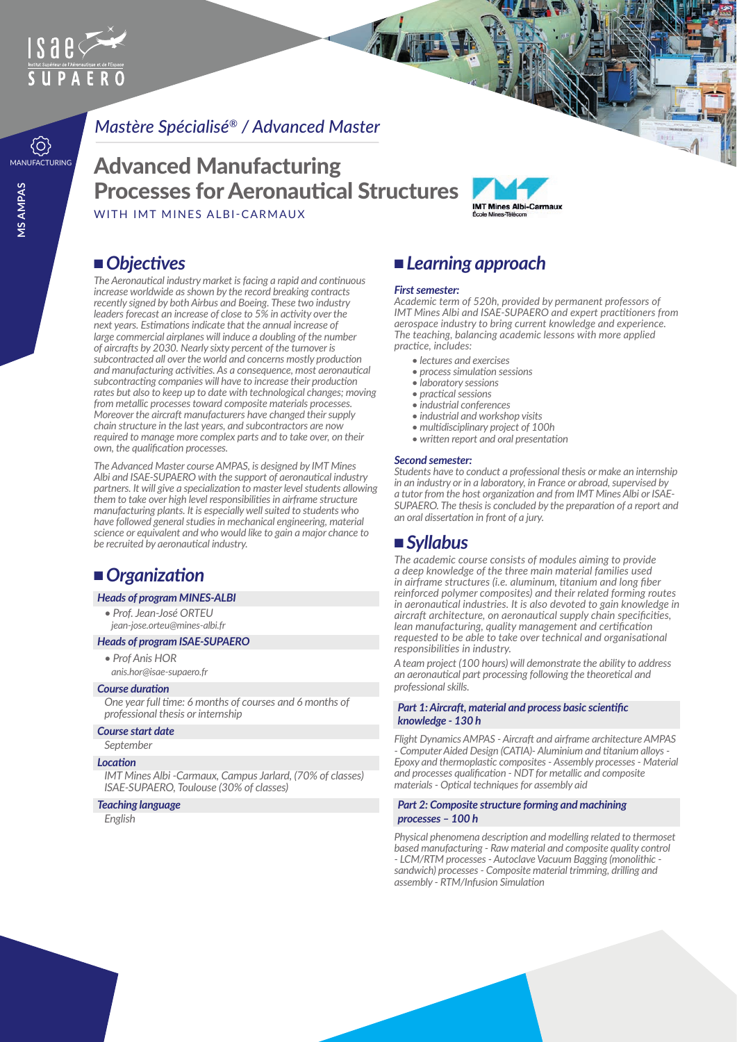

## *Mastère Spécialisé® / Advanced Master*

# **MANUFACTURING** Advanced Manufacturing Processes for Aeronautical Structures





## ■ Objectives

*The Aeronautical industry market is facing a rapid and continuous increase worldwide as shown by the record breaking contracts recently signed by both Airbus and Boeing. These two industry leaders forecast an increase of close to 5% in activity over the next years. Estimations indicate that the annual increase of large commercial airplanes will induce a doubling of the number of aircrafts by 2030. Nearly sixty percent of the turnover is subcontracted all over the world and concerns mostly production and manufacturing activities. As a consequence, most aeronautical subcontracting companies will have to increase their production rates but also to keep up to date with technological changes; moving from metallic processes toward composite materials processes. Moreover the aircraft manufacturers have changed their supply chain structure in the last years, and subcontractors are now required to manage more complex parts and to take over, on their own, the qualification processes.*

*The Advanced Master course AMPAS, is designed by IMT Mines Albi and ISAE-SUPAERO with the support of aeronautical industry partners. It will give a specialization to master level students allowing them to take over high level responsibilities in airframe structure manufacturing plants. It is especially well suited to students who have followed general studies in mechanical engineering, material science or equivalent and who would like to gain a major chance to be recruited by aeronautical industry.*

# ■ *Organization*

#### *Heads of program MINES-ALBI*

*• Prof. Jean-José ORTEU jean-jose.orteu@mines-albi.fr*

#### *Heads of program ISAE-SUPAERO*

- *Prof Anis HOR*
- *anis.hor@isae-supaero.fr*

## *Course duration*

*One year full time: 6 months of courses and 6 months of professional thesis or internship* 

#### *Course start date*

*September*

#### *Location*

*IMT Mines Albi -Carmaux, Campus Jarlard, (70% of classes) ISAE-SUPAERO, Toulouse (30% of classes)*

#### *Teaching language*

*English*

## <sup>n</sup> *Learning approach*

#### *First semester:*

*Academic term of 520h, provided by permanent professors of IMT Mines Albi and ISAE-SUPAERO and expert practitioners from aerospace industry to bring current knowledge and experience. The teaching, balancing academic lessons with more applied practice, includes:*

- *lectures and exercises*
- *process simulation sessions*
- *laboratory sessions*
- *practical sessions*
- *industrial conferences*
- *industrial and workshop visits*
- *multidisciplinary project of 100h*
- *written report and oral presentation*

#### *Second semester:*

*Students have to conduct a professional thesis or make an internship in an industry or in a laboratory, in France or abroad, supervised by a tutor from the host organization and from IMT Mines Albi or ISAE-SUPAERO. The thesis is concluded by the preparation of a report and an oral dissertation in front of a jury.*

## <sup>n</sup> *Syllabus*

*The academic course consists of modules aiming to provide a deep knowledge of the three main material families used in airframe structures (i.e. aluminum, titanium and long fiber reinforced polymer composites) and their related forming routes in aeronautical industries. It is also devoted to gain knowledge in aircraft architecture, on aeronautical supply chain specificities, lean manufacturing, quality management and certification requested to be able to take over technical and organisational responsibilities in industry.*

*A team project (100 hours) will demonstrate the ability to address an aeronautical part processing following the theoretical and professional skills.*

#### *Part 1: Aircraft, material and process basic scientific knowledge - 130 h*

*Flight Dynamics AMPAS - Aircraft and airframe architecture AMPAS - Computer Aided Design (CATIA)- Aluminium and titanium alloys - Epoxy and thermoplastic composites - Assembly processes - Material and processes qualification - NDT for metallic and composite materials - Optical techniques for assembly aid*

#### *Part 2: Composite structure forming and machining processes – 100 h*

*Physical phenomena description and modelling related to thermoset based manufacturing - Raw material and composite quality control - LCM/RTM processes - Autoclave Vacuum Bagging (monolithic sandwich) processes - Composite material trimming, drilling and assembly - RTM/Infusion Simulation*

 $\{ \widehat{O} \}$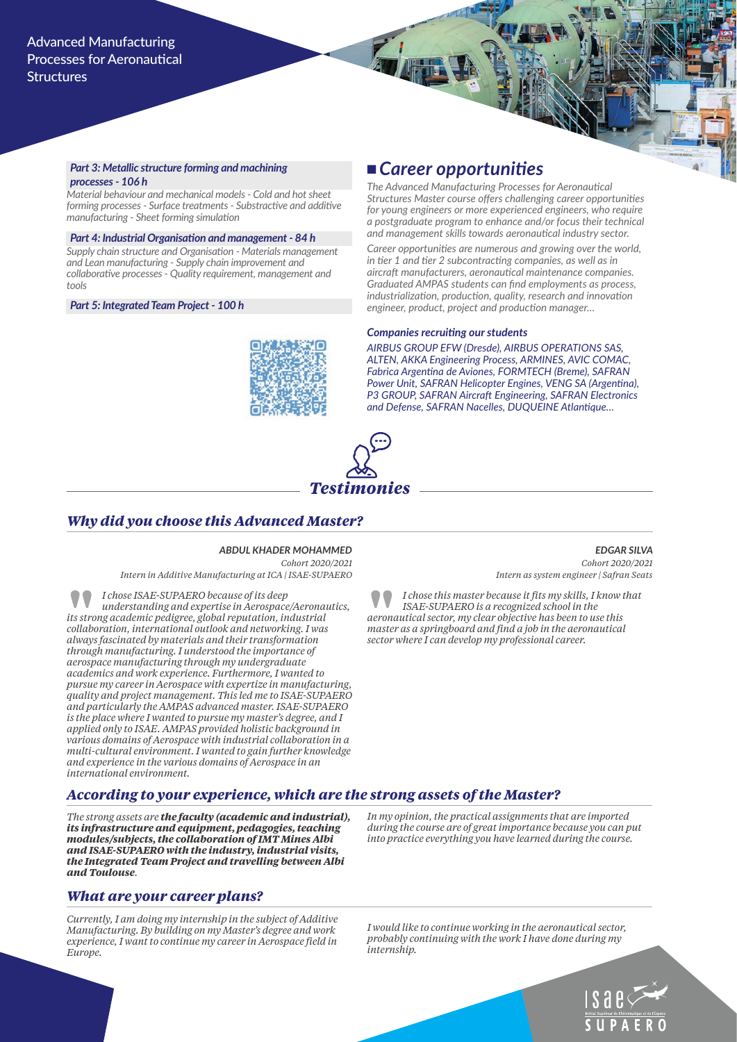#### *Part 3: Metallic structure forming and machining processes - 106 h*

*Material behaviour and mechanical models - Cold and hot sheet forming processes - Surface treatments - Substractive and additive manufacturing - Sheet forming simulation*

*Part 4: Industrial Organisation and management - 84 h Supply chain structure and Organisation - Materials management and Lean manufacturing - Supply chain improvement and collaborative processes - Quality requirement, management and tools*

*Part 5: Integrated Team Project - 100 h*

## <sup>n</sup> *Career opportunities*

*The Advanced Manufacturing Processes for Aeronautical Structures Master course offers challenging career opportunities for young engineers or more experienced engineers, who require a postgraduate program to enhance and/or focus their technical and management skills towards aeronautical industry sector.*

*Career opportunities are numerous and growing over the world, in tier 1 and tier 2 subcontracting companies, as well as in aircraft manufacturers, aeronautical maintenance companies. Graduated AMPAS students can find employments as process, industrialization, production, quality, research and innovation engineer, product, project and production manager…* 

#### *Companies recruiting our students*

*AIRBUS GROUP EFW (Dresde), AIRBUS OPERATIONS SAS, ALTEN, AKKA Engineering Process, ARMINES, AVIC COMAC, Fabrica Argentina de Aviones, FORMTECH (Breme), SAFRAN Power Unit, SAFRAN Helicopter Engines, VENG SA (Argentina), P3 GROUP, SAFRAN Aircraft Engineering, SAFRAN Electronics and Defense, SAFRAN Nacelles, DUQUEINE Atlantique…*



## *Why did you choose this Advanced Master?*

#### *ABDUL KHADER MOHAMMED Cohort 2020/2021*

*Intern in Additive Manufacturing at ICA | ISAE-SUPAERO*

*I chose ISAE-SUPAERO because of its deep understanding and expertise in Aerospace/Aeronautics, its strong academic pedigree, global reputation, industrial collaboration, international outlook and networking. I was always fascinated by materials and their transformation through manufacturing. I understood the importance of aerospace manufacturing through my undergraduate academics and work experience. Furthermore, I wanted to pursue my career in Aerospace with expertize in manufacturing, quality and project management. This led me to ISAE-SUPAERO and particularly the AMPAS advanced master. ISAE-SUPAERO is the place where I wanted to pursue my master's degree, and I applied only to ISAE. AMPAS provided holistic background in various domains of Aerospace with industrial collaboration in a multi-cultural environment. I wanted to gain further knowledge and experience in the various domains of Aerospace in an international environment.*

*EDGAR SILVA Cohort 2020/2021 Intern as system engineer | Safran Seats*

*I chose this master because it fits my skills, I know that ISAE-SUPAERO is a recognized school in the aeronautical sector, my clear objective has been to use this master as a springboard and find a job in the aeronautical sector where I can develop my professional career.*

## *According to your experience, which are the strong assets of the Master?*

*The strong assets are the faculty (academic and industrial), its infrastructure and equipment, pedagogies, teaching modules/subjects, the collaboration of IMT Mines Albi and ISAE-SUPAERO with the industry, industrial visits, the Integrated Team Project and travelling between Albi and Toulouse.*

### *What are your career plans?*

*Currently, I am doing my internship in the subject of Additive Manufacturing. By building on my Master's degree and work experience, I want to continue my career in Aerospace field in Europe.*

*In my opinion, the practical assignments that are imported during the course are of great importance because you can put into practice everything you have learned during the course.*

*I would like to continue working in the aeronautical sector, probably continuing with the work I have done during my internship.*